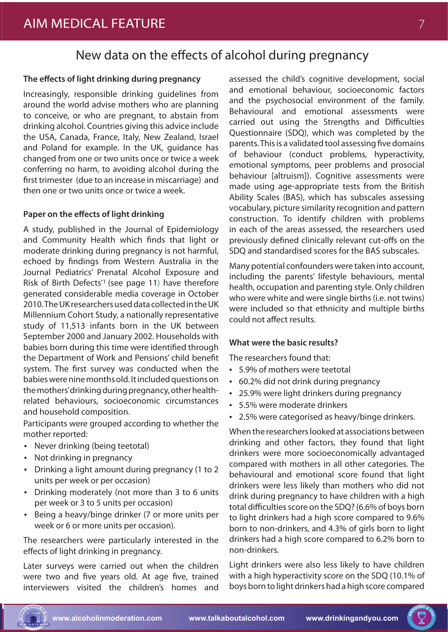# New data on the effects of alcohol during pregnancy

# **The effects of light drinking during pregnancy**

Increasingly, responsible drinking guidelines from around the world advise mothers who are planning to conceive, or who are pregnant, to abstain from drinking alcohol. Countries giving this advice include the USA, Canada, France, Italy, New Zealand, Israel and Poland for example. In the UK, guidance has changed from one or two units once or twice a week conferring no harm, to avoiding alcohol during the first trimester (due to an increase in miscarriage) and then one or two units once or twice a week.

## **Paper on the effects of light drinking**

A study, published in the Journal of Epidemiology and Community Health which finds that light or moderate drinking during pregnancy is not harmful, echoed by findings from Western Australia in the Journal Pediatrics' Prenatal Alcohol Exposure and Risk of Birth Defects'1 (see page 11) have therefore generated considerable media coverage in October 2010. The UK researchers used data collected in the UK Millennium Cohort Study, a nationally representative study of 11,513 infants born in the UK between September 2000 and January 2002. Households with babies born during this time were identified through the Department of Work and Pensions' child benefit system. The first survey was conducted when the babies were nine months old. It included questions on the mothers' drinking during pregnancy, other healthrelated behaviours, socioeconomic circumstances and household composition.

Participants were grouped according to whether the mother reported:

- Never drinking (being teetotal) •
- Not drinking in pregnancy
- Drinking a light amount during pregnancy (1 to 2 units per week or per occasion) •
- Drinking moderately (not more than 3 to 6 units per week or 3 to 5 units per occasion)
- Being a heavy/binge drinker (7 or more units per week or 6 or more units per occasion).

The researchers were particularly interested in the effects of light drinking in pregnancy.

Later surveys were carried out when the children were two and five years old. At age five, trained interviewers visited the children's homes and

assessed the child's cognitive development, social and emotional behaviour, socioeconomic factors and the psychosocial environment of the family. Behavioural and emotional assessments were carried out using the Strengths and Difficulties Questionnaire (SDQ), which was completed by the parents. This is a validated tool assessing five domains of behaviour (conduct problems, hyperactivity, emotional symptoms, peer problems and prosocial behaviour [altruism]). Cognitive assessments were made using age-appropriate tests from the British Ability Scales (BAS), which has subscales assessing vocabulary, picture similarity recognition and pattern construction. To identify children with problems in each of the areas assessed, the researchers used previously defined clinically relevant cut-offs on the SDQ and standardised scores for the BAS subscales.

Many potential confounders were taken into account, including the parents' lifestyle behaviours, mental health, occupation and parenting style. Only children who were white and were single births (i.e. not twins) were included so that ethnicity and multiple births could not affect results.

## **What were the basic results?**

The researchers found that:

- 5.9% of mothers were teetotal •
- 60.2% did not drink during pregnancy •
- 25.9% were light drinkers during pregnancy •
- 5.5% were moderate drinkers •
- 2.5% were categorised as heavy/binge drinkers. •

When the researchers looked at associations between drinking and other factors, they found that light drinkers were more socioeconomically advantaged compared with mothers in all other categories. The behavioural and emotional score found that light drinkers were less likely than mothers who did not drink during pregnancy to have children with a high total difficulties score on the SDQ? (6.6% of boys born to light drinkers had a high score compared to 9.6% born to non-drinkers, and 4.3% of girls born to light drinkers had a high score compared to 6.2% born to non-drinkers.

Light drinkers were also less likely to have children with a high hyperactivity score on the SDQ (10.1% of boys born to light drinkers had a high score compared

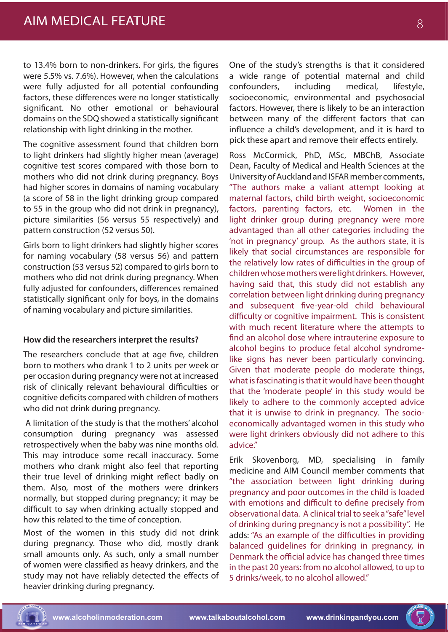to 13.4% born to non-drinkers. For girls, the figures were 5.5% vs. 7.6%). However, when the calculations were fully adjusted for all potential confounding factors, these differences were no longer statistically significant. No other emotional or behavioural domains on the SDQ showed a statistically significant relationship with light drinking in the mother.

The cognitive assessment found that children born to light drinkers had slightly higher mean (average) cognitive test scores compared with those born to mothers who did not drink during pregnancy. Boys had higher scores in domains of naming vocabulary (a score of 58 in the light drinking group compared to 55 in the group who did not drink in pregnancy), picture similarities (56 versus 55 respectively) and pattern construction (52 versus 50).

Girls born to light drinkers had slightly higher scores for naming vocabulary (58 versus 56) and pattern construction (53 versus 52) compared to girls born to mothers who did not drink during pregnancy. When fully adjusted for confounders, differences remained statistically significant only for boys, in the domains of naming vocabulary and picture similarities.

## **How did the researchers interpret the results?**

The researchers conclude that at age five, children born to mothers who drank 1 to 2 units per week or per occasion during pregnancy were not at increased risk of clinically relevant behavioural difficulties or cognitive deficits compared with children of mothers who did not drink during pregnancy.

 A limitation of the study is that the mothers' alcohol consumption during pregnancy was assessed retrospectively when the baby was nine months old. This may introduce some recall inaccuracy. Some mothers who drank might also feel that reporting their true level of drinking might reflect badly on them. Also, most of the mothers were drinkers normally, but stopped during pregnancy; it may be difficult to say when drinking actually stopped and how this related to the time of conception.

Most of the women in this study did not drink during pregnancy. Those who did, mostly drank small amounts only. As such, only a small number of women were classified as heavy drinkers, and the study may not have reliably detected the effects of heavier drinking during pregnancy.

One of the study's strengths is that it considered a wide range of potential maternal and child confounders, including medical, lifestyle, socioeconomic, environmental and psychosocial factors. However, there is likely to be an interaction between many of the different factors that can influence a child's development, and it is hard to pick these apart and remove their effects entirely.

Ross McCormick, PhD, MSc, MBChB, Associate Dean, Faculty of Medical and Health Sciences at the University of Auckland and ISFAR member comments, "The authors make a valiant attempt looking at maternal factors, child birth weight, socioeconomic factors, parenting factors, etc. Women in the light drinker group during pregnancy were more advantaged than all other categories including the 'not in pregnancy' group. As the authors state, it is likely that social circumstances are responsible for the relatively low rates of difficulties in the group of children whose mothers were light drinkers. However, having said that, this study did not establish any correlation between light drinking during pregnancy and subsequent five-year-old child behavioural difficulty or cognitive impairment. This is consistent with much recent literature where the attempts to find an alcohol dose where intrauterine exposure to alcohol begins to produce fetal alcohol syndromelike signs has never been particularly convincing. Given that moderate people do moderate things, what is fascinating is that it would have been thought that the 'moderate people' in this study would be likely to adhere to the commonly accepted advice that it is unwise to drink in pregnancy. The socioeconomically advantaged women in this study who were light drinkers obviously did not adhere to this advice."

Erik Skovenborg, MD, specialising in family medicine and AIM Council member comments that "the association between light drinking during pregnancy and poor outcomes in the child is loaded with emotions and difficult to define precisely from observational data. A clinical trial to seek a "safe" level of drinking during pregnancy is not a possibility". He adds: "As an example of the difficulties in providing balanced guidelines for drinking in pregnancy, in Denmark the official advice has changed three times in the past 20 years: from no alcohol allowed, to up to 5 drinks/week, to no alcohol allowed."

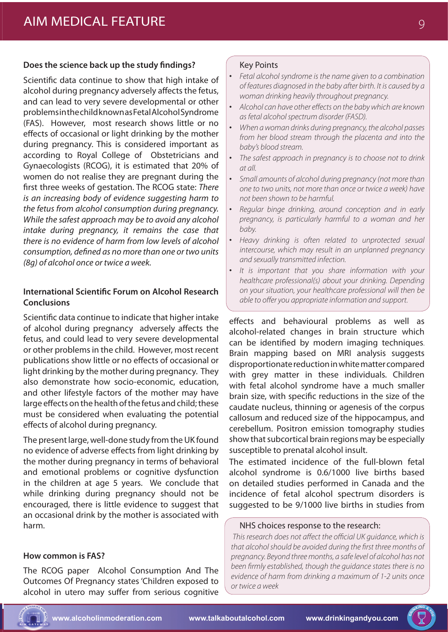## **Does the science back up the study findings?**

Scientific data continue to show that high intake of alcohol during pregnancy adversely affects the fetus, and can lead to very severe developmental or other problems in the child known as Fetal Alcohol Syndrome (FAS). However, most research shows little or no effects of occasional or light drinking by the mother during pregnancy. This is considered important as according to Royal College of Obstetricians and Gynaecologists (RCOG), it is estimated that 20% of women do not realise they are pregnant during the first three weeks of gestation. The RCOG state: *There is an increasing body of evidence suggesting harm to the fetus from alcohol consumption during pregnancy. While the safest approach may be to avoid any alcohol intake during pregnancy, it remains the case that there is no evidence of harm from low levels of alcohol consumption, defined as no more than one or two units (8g) of alcohol once or twice a week.* 

## **International Scientific Forum on Alcohol Research Conclusions**

Scientific data continue to indicate that higher intake of alcohol during pregnancy adversely affects the fetus, and could lead to very severe developmental or other problems in the child. However, most recent publications show little or no effects of occasional or light drinking by the mother during pregnancy. They also demonstrate how socio-economic, education, and other lifestyle factors of the mother may have large effects on the health of the fetus and child; these must be considered when evaluating the potential effects of alcohol during pregnancy.

The present large, well-done study from the UK found no evidence of adverse effects from light drinking by the mother during pregnancy in terms of behavioral and emotional problems or cognitive dysfunction in the children at age 5 years. We conclude that while drinking during pregnancy should not be encouraged, there is little evidence to suggest that an occasional drink by the mother is associated with harm.

#### **How common is FAS?**

The RCOG paper Alcohol Consumption And The Outcomes Of Pregnancy states 'Children exposed to alcohol in utero may suffer from serious cognitive

#### Key Points

- *Fetal alcohol syndrome is the name given to a combination of features diagnosed in the baby after birth. It is caused by a woman drinking heavily throughout pregnancy. •*
- *Alcohol can have other effects on the baby which are known • as fetal alcohol spectrum disorder (FASD).*
- *When a woman drinks during pregnancy, the alcohol passes from her blood stream through the placenta and into the baby's blood stream. •*
- The safest approach in pregnancy is to choose not to drink *at all.*
- *Small amounts of alcohol during pregnancy (not more than • one to two units, not more than once or twice a week) have not been shown to be harmful.*
- *Regular binge drinking, around conception and in early pregnancy, is particularly harmful to a woman and her baby. •*
- *Heavy drinking is often related to unprotected sexual • intercourse, which may result in an unplanned pregnancy and sexually transmitted infection.*
- *It is important that you share information with your healthcare professional(s) about your drinking. Depending on your situation, your healthcare professional will then be able to offer you appropriate information and support. •*

effects and behavioural problems as well as alcohol-related changes in brain structure which can be identified by modern imaging techniques. Brain mapping based on MRI analysis suggests disproportionate reduction in white matter compared with grey matter in these individuals. Children with fetal alcohol syndrome have a much smaller brain size, with specific reductions in the size of the caudate nucleus, thinning or agenesis of the corpus callosum and reduced size of the hippocampus, and cerebellum. Positron emission tomography studies show that subcortical brain regions may be especially susceptible to prenatal alcohol insult.

The estimated incidence of the full-blown fetal alcohol syndrome is 0.6/1000 live births based on detailed studies performed in Canada and the incidence of fetal alcohol spectrum disorders is suggested to be 9/1000 live births in studies from

#### NHS choices response to the research:

 *This research does not affect the official UK guidance, which is that alcohol should be avoided during the first three months of pregnancy. Beyond three months, a safe level of alcohol has not been firmly established, though the guidance states there is no evidence of harm from drinking a maximum of 1-2 units once or twice a week*